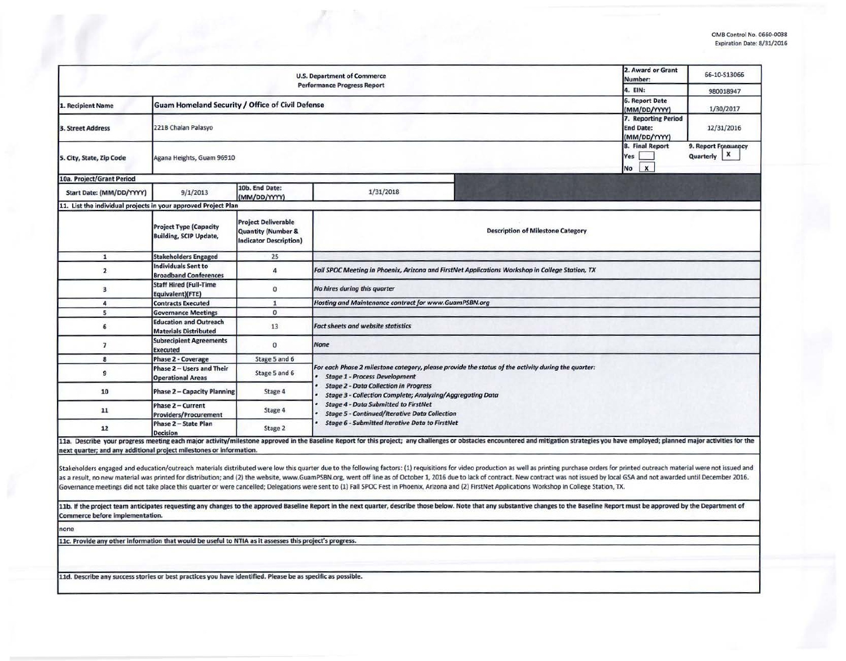|                                                                                                             | 2. Award or Grant<br>Number:                                   | 66-10-513066                                                                                 |                                                                                                                                                                                                                                                                |                                                                                                                                                                                                                                                                                                                                                                                                                                                                                                                                                                                                                                                                         |  |  |  |  |  |  |
|-------------------------------------------------------------------------------------------------------------|----------------------------------------------------------------|----------------------------------------------------------------------------------------------|----------------------------------------------------------------------------------------------------------------------------------------------------------------------------------------------------------------------------------------------------------------|-------------------------------------------------------------------------------------------------------------------------------------------------------------------------------------------------------------------------------------------------------------------------------------------------------------------------------------------------------------------------------------------------------------------------------------------------------------------------------------------------------------------------------------------------------------------------------------------------------------------------------------------------------------------------|--|--|--|--|--|--|
|                                                                                                             |                                                                | 4. EIN:                                                                                      | 980018947                                                                                                                                                                                                                                                      |                                                                                                                                                                                                                                                                                                                                                                                                                                                                                                                                                                                                                                                                         |  |  |  |  |  |  |
| 1. Recipient Name                                                                                           | <b>Guam Homeland Security / Office of Civil Defense</b>        | <b>6. Report Date</b><br>(MM/DD/YYYY)                                                        | 1/30/2017                                                                                                                                                                                                                                                      |                                                                                                                                                                                                                                                                                                                                                                                                                                                                                                                                                                                                                                                                         |  |  |  |  |  |  |
| 3. Street Address                                                                                           | 221B Chalan Palasyo                                            | 7. Reporting Period<br><b>End Date:</b><br>(MM/DD/YYYY)                                      | 12/31/2016                                                                                                                                                                                                                                                     |                                                                                                                                                                                                                                                                                                                                                                                                                                                                                                                                                                                                                                                                         |  |  |  |  |  |  |
| 5. City, State, Zip Code                                                                                    | Agana Heights, Guam 96910                                      |                                                                                              | 8. Final Report<br>Yes<br>$\mathbf{x}$<br>No                                                                                                                                                                                                                   | 9. Report Frequency<br>Quarterly   X                                                                                                                                                                                                                                                                                                                                                                                                                                                                                                                                                                                                                                    |  |  |  |  |  |  |
| 10a. Project/Grant Period                                                                                   |                                                                |                                                                                              |                                                                                                                                                                                                                                                                |                                                                                                                                                                                                                                                                                                                                                                                                                                                                                                                                                                                                                                                                         |  |  |  |  |  |  |
| Start Date: (MM/DD/YYYY)                                                                                    | 9/1/2013                                                       | 10b. End Date:<br>(MM/DD/YYYY)                                                               | 1/31/2018                                                                                                                                                                                                                                                      |                                                                                                                                                                                                                                                                                                                                                                                                                                                                                                                                                                                                                                                                         |  |  |  |  |  |  |
| 11. List the individual projects in your approved Project Plan                                              |                                                                |                                                                                              |                                                                                                                                                                                                                                                                |                                                                                                                                                                                                                                                                                                                                                                                                                                                                                                                                                                                                                                                                         |  |  |  |  |  |  |
|                                                                                                             | <b>Project Type (Capacity</b><br><b>Building, SCIP Update,</b> | <b>Project Deliverable</b><br><b>Quantity (Number &amp;</b><br><b>Indicator Description)</b> |                                                                                                                                                                                                                                                                | <b>Description of Milestone Category</b>                                                                                                                                                                                                                                                                                                                                                                                                                                                                                                                                                                                                                                |  |  |  |  |  |  |
| ${\bf 1}$                                                                                                   | <b>Stakeholders Engaged</b>                                    | 25                                                                                           |                                                                                                                                                                                                                                                                |                                                                                                                                                                                                                                                                                                                                                                                                                                                                                                                                                                                                                                                                         |  |  |  |  |  |  |
| $\overline{2}$                                                                                              | <b>Individuals Sent to</b><br><b>Broadband Conferences</b>     | $\overline{4}$                                                                               | Fall SPOC Meeting in Phoenix, Arizona and FirstNet Applications Workshop in College Station, TX                                                                                                                                                                |                                                                                                                                                                                                                                                                                                                                                                                                                                                                                                                                                                                                                                                                         |  |  |  |  |  |  |
| $\overline{\mathbf{3}}$                                                                                     | <b>Staff Hired (Full-Time</b><br>Equivalent)(FTE)              | $\mathbf{0}$                                                                                 | No hires during this quarter                                                                                                                                                                                                                                   |                                                                                                                                                                                                                                                                                                                                                                                                                                                                                                                                                                                                                                                                         |  |  |  |  |  |  |
| 4                                                                                                           | <b>Contracts Executed</b>                                      | $\mathbf{1}$                                                                                 | Hosting and Maintenance contract for www.GuamPSBN.org                                                                                                                                                                                                          |                                                                                                                                                                                                                                                                                                                                                                                                                                                                                                                                                                                                                                                                         |  |  |  |  |  |  |
| 5                                                                                                           | <b>Governance Meetings</b>                                     | $\mathbf{O}$                                                                                 |                                                                                                                                                                                                                                                                |                                                                                                                                                                                                                                                                                                                                                                                                                                                                                                                                                                                                                                                                         |  |  |  |  |  |  |
| 6                                                                                                           | <b>Education and Outreach</b><br><b>Materials Distributed</b>  | 13                                                                                           | <b>Fact sheets and website statistics</b>                                                                                                                                                                                                                      |                                                                                                                                                                                                                                                                                                                                                                                                                                                                                                                                                                                                                                                                         |  |  |  |  |  |  |
| $\overline{\phantom{a}}$                                                                                    | <b>Subrecipient Agreements</b><br><b>Executed</b>              | $\mathbf{0}$                                                                                 | <b>None</b>                                                                                                                                                                                                                                                    |                                                                                                                                                                                                                                                                                                                                                                                                                                                                                                                                                                                                                                                                         |  |  |  |  |  |  |
| 8                                                                                                           | Phase 2 - Coverage                                             | Stage 5 and 6                                                                                |                                                                                                                                                                                                                                                                |                                                                                                                                                                                                                                                                                                                                                                                                                                                                                                                                                                                                                                                                         |  |  |  |  |  |  |
| $\overline{9}$                                                                                              | Phase 2 - Users and Their<br><b>Operational Areas</b>          | Stage 5 and 6                                                                                | For each Phase 2 milestone category, please provide the status of the activity during the quarter:<br><b>Stage 1 - Process Development</b><br><b>Stage 2 - Data Collection in Progress</b><br><b>Stage 3 - Collection Complete; Analyzing/Aggregating Data</b> |                                                                                                                                                                                                                                                                                                                                                                                                                                                                                                                                                                                                                                                                         |  |  |  |  |  |  |
| 10                                                                                                          | <b>Phase 2 - Capacity Planning</b>                             | Stage 4                                                                                      |                                                                                                                                                                                                                                                                |                                                                                                                                                                                                                                                                                                                                                                                                                                                                                                                                                                                                                                                                         |  |  |  |  |  |  |
| 11                                                                                                          | Phase 2 - Current<br><b>Providers/Procurement</b>              | Stage 4                                                                                      | <b>Stage 4 - Data Submitted to FirstNet</b><br><b>Stage 5 - Continued/Iterative Data Collection</b>                                                                                                                                                            |                                                                                                                                                                                                                                                                                                                                                                                                                                                                                                                                                                                                                                                                         |  |  |  |  |  |  |
| 12                                                                                                          | Phase 2 - State Plan<br><b>Decision</b>                        | Stage 2                                                                                      | <b>Stage 6 - Submitted Iterative Data to FirstNet</b>                                                                                                                                                                                                          |                                                                                                                                                                                                                                                                                                                                                                                                                                                                                                                                                                                                                                                                         |  |  |  |  |  |  |
| next quarter; and any additional project milestones or information.                                         |                                                                |                                                                                              |                                                                                                                                                                                                                                                                | 11a. Describe your progress meeting each major activity/milestone approved in the Baseline Report for this project; any challenges or obstacles encountered and mitigation strategies you have employed; planned major activit                                                                                                                                                                                                                                                                                                                                                                                                                                          |  |  |  |  |  |  |
|                                                                                                             |                                                                |                                                                                              |                                                                                                                                                                                                                                                                | Stakeholders engaged and education/outreach materials distributed were low this quarter due to the following factors: (1) requisitions for video production as well as printing purchase orders for printed outreach material<br>as a result, no new material was printed for distribution; and (2) the website, www.GuamPSBN.org, went off line as of October 1, 2016 due to lack of contract. New contract was not issued by local GSA and not awarded until<br>Governance meetings did not take place this quarter or were cancelled; Delegations were sent to (1) Fall SPOC Fest in Phoenix, Arizona and (2) FirstNet Applications Workshop in College Station, TX. |  |  |  |  |  |  |
| Commerce before implementation.                                                                             |                                                                |                                                                                              |                                                                                                                                                                                                                                                                | 11b. If the project team anticipates requesting any changes to the approved Baseline Report in the next quarter, describe those below. Note that any substantive changes to the Baseline Report must be approved by the Depart                                                                                                                                                                                                                                                                                                                                                                                                                                          |  |  |  |  |  |  |
| none                                                                                                        |                                                                |                                                                                              |                                                                                                                                                                                                                                                                |                                                                                                                                                                                                                                                                                                                                                                                                                                                                                                                                                                                                                                                                         |  |  |  |  |  |  |
| 11c. Provide any other information that would be useful to NTIA as it assesses this project's progress.     |                                                                |                                                                                              |                                                                                                                                                                                                                                                                |                                                                                                                                                                                                                                                                                                                                                                                                                                                                                                                                                                                                                                                                         |  |  |  |  |  |  |
|                                                                                                             |                                                                |                                                                                              |                                                                                                                                                                                                                                                                |                                                                                                                                                                                                                                                                                                                                                                                                                                                                                                                                                                                                                                                                         |  |  |  |  |  |  |
| 11d. Describe any success stories or best practices you have identified. Please be as specific as possible. |                                                                |                                                                                              |                                                                                                                                                                                                                                                                |                                                                                                                                                                                                                                                                                                                                                                                                                                                                                                                                                                                                                                                                         |  |  |  |  |  |  |
|                                                                                                             |                                                                |                                                                                              |                                                                                                                                                                                                                                                                |                                                                                                                                                                                                                                                                                                                                                                                                                                                                                                                                                                                                                                                                         |  |  |  |  |  |  |
|                                                                                                             |                                                                |                                                                                              |                                                                                                                                                                                                                                                                |                                                                                                                                                                                                                                                                                                                                                                                                                                                                                                                                                                                                                                                                         |  |  |  |  |  |  |